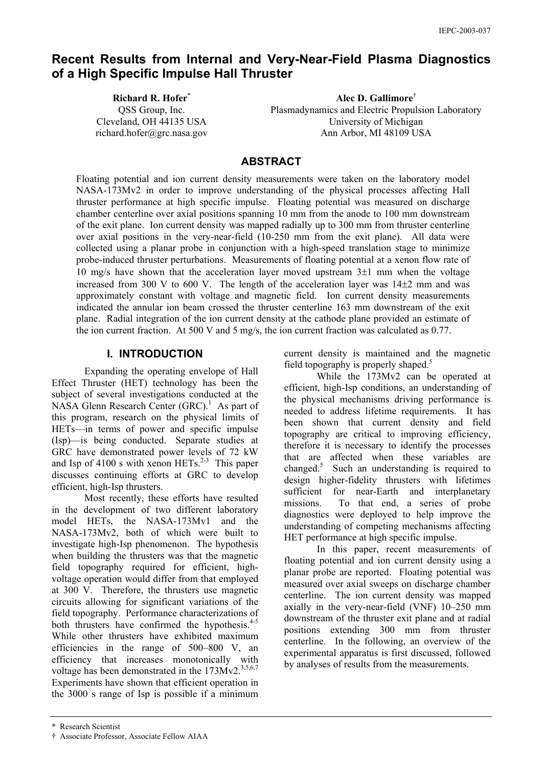# **Recent Results from Internal and Very-Near-Field Plasma Diagnostics of a High Specific Impulse Hall Thruster**

**Richard R. Hofer**\* QSS Group, Inc. Cleveland, OH 44135 USA richard.hofer@grc.nasa.gov

**Alec D. Gallimore**† Plasmadynamics and Electric Propulsion Laboratory University of Michigan Ann Arbor, MI 48109 USA

## **ABSTRACT**

Floating potential and ion current density measurements were taken on the laboratory model NASA-173Mv2 in order to improve understanding of the physical processes affecting Hall thruster performance at high specific impulse. Floating potential was measured on discharge chamber centerline over axial positions spanning 10 mm from the anode to 100 mm downstream of the exit plane. Ion current density was mapped radially up to 300 mm from thruster centerline over axial positions in the very-near-field (10-250 mm from the exit plane). All data were collected using a planar probe in conjunction with a high-speed translation stage to minimize probe-induced thruster perturbations. Measurements of floating potential at a xenon flow rate of 10 mg/s have shown that the acceleration layer moved upstream 3±1 mm when the voltage increased from 300 V to 600 V. The length of the acceleration layer was  $14\pm2$  mm and was approximately constant with voltage and magnetic field. Ion current density measurements indicated the annular ion beam crossed the thruster centerline 163 mm downstream of the exit plane. Radial integration of the ion current density at the cathode plane provided an estimate of the ion current fraction. At 500 V and 5 mg/s, the ion current fraction was calculated as 0.77.

#### **I. INTRODUCTION**

Expanding the operating envelope of Hall Effect Thruster (HET) technology has been the subject of several investigations conducted at the NASA Glenn Research Center (GRC).<sup>1</sup> As part of this program, research on the physical limits of HETs—in terms of power and specific impulse (Isp)—is being conducted. Separate studies at GRC have demonstrated power levels of 72 kW and Isp of 4100 s with xenon HETs.<sup>2-3</sup> This paper discusses continuing efforts at GRC to develop efficient, high-Isp thrusters.

Most recently, these efforts have resulted in the development of two different laboratory model HETs, the NASA-173Mv1 and the NASA-173Mv2, both of which were built to investigate high-Isp phenomenon. The hypothesis when building the thrusters was that the magnetic field topography required for efficient, highvoltage operation would differ from that employed at 300 V. Therefore, the thrusters use magnetic circuits allowing for significant variations of the field topography. Performance characterizations of both thrusters have confirmed the hypothesis.<sup>4-5</sup> While other thrusters have exhibited maximum efficiencies in the range of 500–800 V, an efficiency that increases monotonically with voltage has been demonstrated in the  $173Mv2^{3,5,6,7}$ Experiments have shown that efficient operation in the 3000 s range of Isp is possible if a minimum

current density is maintained and the magnetic field topography is properly shaped.<sup>5</sup>

While the 173Mv2 can be operated at efficient, high-Isp conditions, an understanding of the physical mechanisms driving performance is needed to address lifetime requirements. It has been shown that current density and field topography are critical to improving efficiency, therefore it is necessary to identify the processes that are affected when these variables are changed. $5$  Such an understanding is required to design higher-fidelity thrusters with lifetimes sufficient for near-Earth and interplanetary missions. To that end, a series of probe diagnostics were deployed to help improve the understanding of competing mechanisms affecting HET performance at high specific impulse.

In this paper, recent measurements of floating potential and ion current density using a planar probe are reported. Floating potential was measured over axial sweeps on discharge chamber centerline. The ion current density was mapped axially in the very-near-field (VNF) 10–250 mm downstream of the thruster exit plane and at radial positions extending 300 mm from thruster centerline. In the following, an overview of the experimental apparatus is first discussed, followed by analyses of results from the measurements.

<sup>\*</sup> Research Scientist

<sup>†</sup> Associate Professor, Associate Fellow AIAA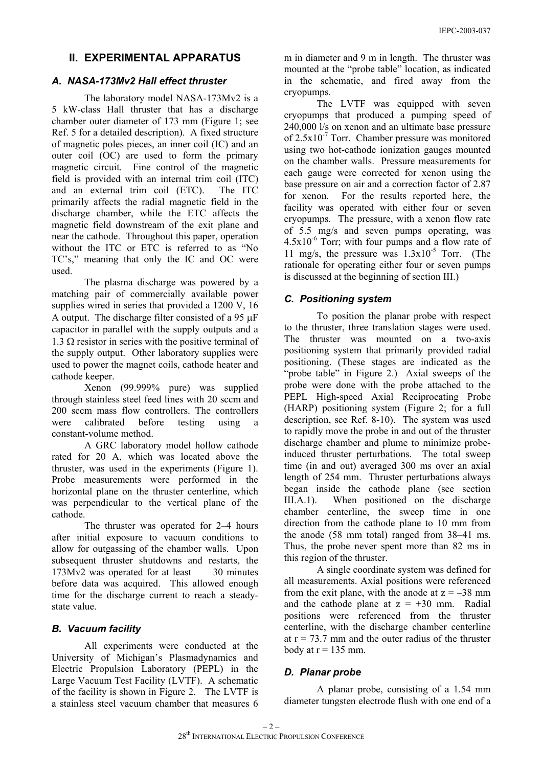## **II. EXPERIMENTAL APPARATUS**

#### *A. NASA-173Mv2 Hall effect thruster*

The laboratory model NASA-173Mv2 is a 5 kW-class Hall thruster that has a discharge chamber outer diameter of 173 mm (Figure 1; see Ref. 5 for a detailed description). A fixed structure of magnetic poles pieces, an inner coil (IC) and an outer coil (OC) are used to form the primary magnetic circuit. Fine control of the magnetic field is provided with an internal trim coil (ITC) and an external trim coil (ETC). The ITC primarily affects the radial magnetic field in the discharge chamber, while the ETC affects the magnetic field downstream of the exit plane and near the cathode. Throughout this paper, operation without the ITC or ETC is referred to as "No TC's," meaning that only the IC and OC were used.

The plasma discharge was powered by a matching pair of commercially available power supplies wired in series that provided a 1200 V, 16 A output. The discharge filter consisted of a 95 µF capacitor in parallel with the supply outputs and a 1.3 Ω resistor in series with the positive terminal of the supply output. Other laboratory supplies were used to power the magnet coils, cathode heater and cathode keeper.

Xenon (99.999% pure) was supplied through stainless steel feed lines with 20 sccm and 200 sccm mass flow controllers. The controllers were calibrated before testing using a constant-volume method.

A GRC laboratory model hollow cathode rated for 20 A, which was located above the thruster, was used in the experiments (Figure 1). Probe measurements were performed in the horizontal plane on the thruster centerline, which was perpendicular to the vertical plane of the cathode.

The thruster was operated for 2–4 hours after initial exposure to vacuum conditions to allow for outgassing of the chamber walls. Upon subsequent thruster shutdowns and restarts, the 173Mv2 was operated for at least 30 minutes before data was acquired. This allowed enough time for the discharge current to reach a steadystate value.

#### *B. Vacuum facility*

All experiments were conducted at the University of Michigan's Plasmadynamics and Electric Propulsion Laboratory (PEPL) in the Large Vacuum Test Facility (LVTF). A schematic of the facility is shown in Figure 2. The LVTF is a stainless steel vacuum chamber that measures 6

m in diameter and 9 m in length. The thruster was mounted at the "probe table" location, as indicated in the schematic, and fired away from the cryopumps.

The LVTF was equipped with seven cryopumps that produced a pumping speed of 240,000 l/s on xenon and an ultimate base pressure of  $2.5x10^{-7}$  Torr. Chamber pressure was monitored using two hot-cathode ionization gauges mounted on the chamber walls. Pressure measurements for each gauge were corrected for xenon using the base pressure on air and a correction factor of 2.87 for xenon. For the results reported here, the facility was operated with either four or seven cryopumps. The pressure, with a xenon flow rate of 5.5 mg/s and seven pumps operating, was  $4.5x10^{-6}$  Torr; with four pumps and a flow rate of 11 mg/s, the pressure was  $1.3x10^{-5}$  Torr. (The rationale for operating either four or seven pumps is discussed at the beginning of section III.)

#### *C. Positioning system*

To position the planar probe with respect to the thruster, three translation stages were used. The thruster was mounted on a two-axis positioning system that primarily provided radial positioning. (These stages are indicated as the "probe table" in Figure 2.) Axial sweeps of the probe were done with the probe attached to the PEPL High-speed Axial Reciprocating Probe (HARP) positioning system (Figure 2; for a full description, see Ref. 8-10). The system was used to rapidly move the probe in and out of the thruster discharge chamber and plume to minimize probeinduced thruster perturbations. The total sweep time (in and out) averaged 300 ms over an axial length of 254 mm. Thruster perturbations always began inside the cathode plane (see section III.A.1). When positioned on the discharge chamber centerline, the sweep time in one direction from the cathode plane to 10 mm from the anode (58 mm total) ranged from 38–41 ms. Thus, the probe never spent more than 82 ms in this region of the thruster.

A single coordinate system was defined for all measurements. Axial positions were referenced from the exit plane, with the anode at  $z = -38$  mm and the cathode plane at  $z = +30$  mm. Radial positions were referenced from the thruster centerline, with the discharge chamber centerline at  $r = 73.7$  mm and the outer radius of the thruster body at  $r = 135$  mm.

# *D. Planar probe*

 A planar probe, consisting of a 1.54 mm diameter tungsten electrode flush with one end of a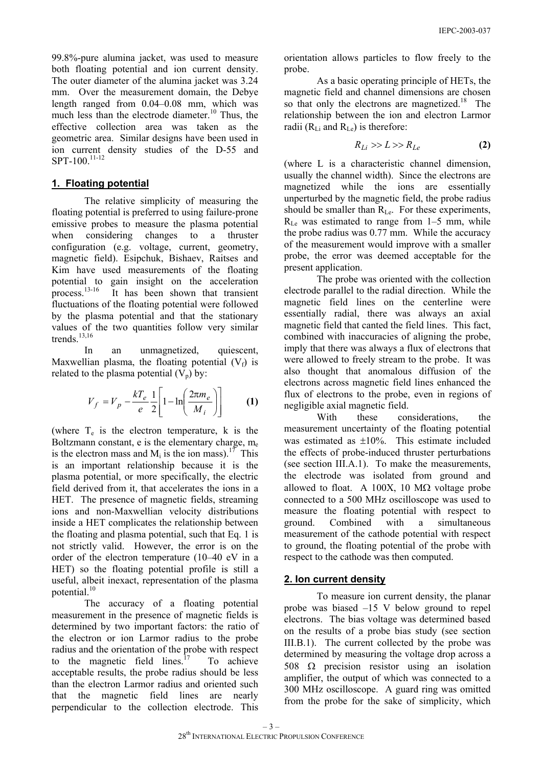99.8%-pure alumina jacket, was used to measure both floating potential and ion current density. The outer diameter of the alumina jacket was 3.24 mm. Over the measurement domain, the Debye length ranged from 0.04–0.08 mm, which was much less than the electrode diameter.<sup>10</sup> Thus, the effective collection area was taken as the geometric area. Similar designs have been used in ion current density studies of the D-55 and SPT-100.<sup>11-12</sup>

#### **1. Floating potential**

The relative simplicity of measuring the floating potential is preferred to using failure-prone emissive probes to measure the plasma potential when considering changes to a thruster configuration (e.g. voltage, current, geometry, magnetic field). Esipchuk, Bishaev, Raitses and Kim have used measurements of the floating potential to gain insight on the acceleration process.13-16 It has been shown that transient fluctuations of the floating potential were followed by the plasma potential and that the stationary values of the two quantities follow very similar trends $13,16$ 

In an unmagnetized, quiescent, Maxwellian plasma, the floating potential  $(V_f)$  is related to the plasma potential  $(V_p)$  by:

$$
V_f = V_p - \frac{kT_e}{e} \frac{1}{2} \left[ 1 - \ln \left( \frac{2\pi m_e}{M_i} \right) \right] \tag{1}
$$

(where  $T_e$  is the electron temperature, k is the Boltzmann constant, e is the elementary charge,  $m_e$ is the electron mass and  $M_i$  is the ion mass).<sup>17</sup> This is an important relationship because it is the plasma potential, or more specifically, the electric field derived from it, that accelerates the ions in a HET. The presence of magnetic fields, streaming ions and non-Maxwellian velocity distributions inside a HET complicates the relationship between the floating and plasma potential, such that Eq. 1 is not strictly valid. However, the error is on the order of the electron temperature (10–40 eV in a HET) so the floating potential profile is still a useful, albeit inexact, representation of the plasma potential. $10$ 

The accuracy of a floating potential measurement in the presence of magnetic fields is determined by two important factors: the ratio of the electron or ion Larmor radius to the probe radius and the orientation of the probe with respect to the magnetic field lines.<sup>17</sup> To achieve acceptable results, the probe radius should be less than the electron Larmor radius and oriented such that the magnetic field lines are nearly perpendicular to the collection electrode. This

orientation allows particles to flow freely to the probe.

As a basic operating principle of HETs, the magnetic field and channel dimensions are chosen so that only the electrons are magnetized.<sup>18</sup> The relationship between the ion and electron Larmor radii  $(R<sub>Li</sub>$  and  $R<sub>Le</sub>$ ) is therefore:

$$
R_{Li} \gg L \gg R_{Le} \tag{2}
$$

(where L is a characteristic channel dimension, usually the channel width). Since the electrons are magnetized while the ions are essentially unperturbed by the magnetic field, the probe radius should be smaller than  $R_{Le}$ . For these experiments,  $R_{\text{Le}}$  was estimated to range from 1–5 mm, while the probe radius was 0.77 mm. While the accuracy of the measurement would improve with a smaller probe, the error was deemed acceptable for the present application.

The probe was oriented with the collection electrode parallel to the radial direction. While the magnetic field lines on the centerline were essentially radial, there was always an axial magnetic field that canted the field lines. This fact, combined with inaccuracies of aligning the probe, imply that there was always a flux of electrons that were allowed to freely stream to the probe. It was also thought that anomalous diffusion of the electrons across magnetic field lines enhanced the flux of electrons to the probe, even in regions of negligible axial magnetic field.

With these considerations, the measurement uncertainty of the floating potential was estimated as  $\pm 10\%$ . This estimate included the effects of probe-induced thruster perturbations (see section III.A.1). To make the measurements, the electrode was isolated from ground and allowed to float. A 100X, 10 M $\Omega$  voltage probe connected to a 500 MHz oscilloscope was used to measure the floating potential with respect to ground. Combined with a simultaneous measurement of the cathode potential with respect to ground, the floating potential of the probe with respect to the cathode was then computed.

# **2. Ion current density**

To measure ion current density, the planar probe was biased –15 V below ground to repel electrons. The bias voltage was determined based on the results of a probe bias study (see section III.B.1). The current collected by the probe was determined by measuring the voltage drop across a 508  $\Omega$  precision resistor using an isolation amplifier, the output of which was connected to a 300 MHz oscilloscope. A guard ring was omitted from the probe for the sake of simplicity, which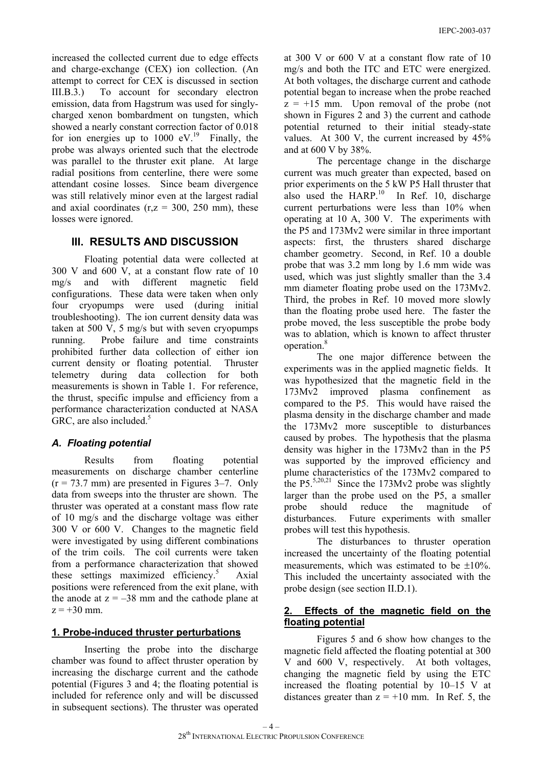increased the collected current due to edge effects and charge-exchange (CEX) ion collection. (An attempt to correct for CEX is discussed in section III.B.3.) To account for secondary electron emission, data from Hagstrum was used for singlycharged xenon bombardment on tungsten, which showed a nearly constant correction factor of 0.018 for ion energies up to  $1000 \text{ eV}^{19}$  Finally, the probe was always oriented such that the electrode was parallel to the thruster exit plane. At large radial positions from centerline, there were some attendant cosine losses. Since beam divergence was still relatively minor even at the largest radial and axial coordinates  $(r, z = 300, 250 \text{ mm})$ , these losses were ignored.

#### **III. RESULTS AND DISCUSSION**

 Floating potential data were collected at 300 V and 600 V, at a constant flow rate of 10 mg/s and with different magnetic field configurations. These data were taken when only four cryopumps were used (during initial troubleshooting). The ion current density data was taken at 500 V, 5 mg/s but with seven cryopumps running. Probe failure and time constraints prohibited further data collection of either ion current density or floating potential. Thruster telemetry during data collection for both measurements is shown in Table 1. For reference, the thrust, specific impulse and efficiency from a performance characterization conducted at NASA GRC, are also included. $5$ 

#### *A. Floating potential*

 Results from floating potential measurements on discharge chamber centerline  $(r = 73.7 \text{ mm})$  are presented in Figures 3–7. Only data from sweeps into the thruster are shown. The thruster was operated at a constant mass flow rate of 10 mg/s and the discharge voltage was either 300 V or 600 V. Changes to the magnetic field were investigated by using different combinations of the trim coils. The coil currents were taken from a performance characterization that showed these settings maximized efficiency.<sup>5</sup> Axial positions were referenced from the exit plane, with the anode at  $z = -38$  mm and the cathode plane at  $z = +30$  mm.

#### **1. Probe-induced thruster perturbations**

Inserting the probe into the discharge chamber was found to affect thruster operation by increasing the discharge current and the cathode potential (Figures 3 and 4; the floating potential is included for reference only and will be discussed in subsequent sections). The thruster was operated at 300 V or 600 V at a constant flow rate of 10 mg/s and both the ITC and ETC were energized. At both voltages, the discharge current and cathode potential began to increase when the probe reached  $z = +15$  mm. Upon removal of the probe (not shown in Figures 2 and 3) the current and cathode potential returned to their initial steady-state values. At 300 V, the current increased by 45% and at 600 V by 38%.

The percentage change in the discharge current was much greater than expected, based on prior experiments on the 5 kW P5 Hall thruster that also used the HARP. $^{10}$  In Ref. 10, discharge current perturbations were less than 10% when operating at 10 A, 300 V. The experiments with the P5 and 173Mv2 were similar in three important aspects: first, the thrusters shared discharge chamber geometry. Second, in Ref. 10 a double probe that was 3.2 mm long by 1.6 mm wide was used, which was just slightly smaller than the 3.4 mm diameter floating probe used on the 173Mv2. Third, the probes in Ref. 10 moved more slowly than the floating probe used here. The faster the probe moved, the less susceptible the probe body was to ablation, which is known to affect thruster operation.8

The one major difference between the experiments was in the applied magnetic fields. It was hypothesized that the magnetic field in the 173Mv2 improved plasma confinement as compared to the P5. This would have raised the plasma density in the discharge chamber and made the 173Mv2 more susceptible to disturbances caused by probes. The hypothesis that the plasma density was higher in the 173Mv2 than in the P5 was supported by the improved efficiency and plume characteristics of the 173Mv2 compared to the  $P5^{5,20,21}$  Since the 173Mv2 probe was slightly larger than the probe used on the P5, a smaller probe should reduce the magnitude of disturbances. Future experiments with smaller probes will test this hypothesis.

The disturbances to thruster operation increased the uncertainty of the floating potential measurements, which was estimated to be  $\pm 10\%$ . This included the uncertainty associated with the probe design (see section II.D.1).

#### **2. Effects of the magnetic field on the floating potential**

 Figures 5 and 6 show how changes to the magnetic field affected the floating potential at 300 V and 600 V, respectively. At both voltages, changing the magnetic field by using the ETC increased the floating potential by 10–15 V at distances greater than  $z = +10$  mm. In Ref. 5, the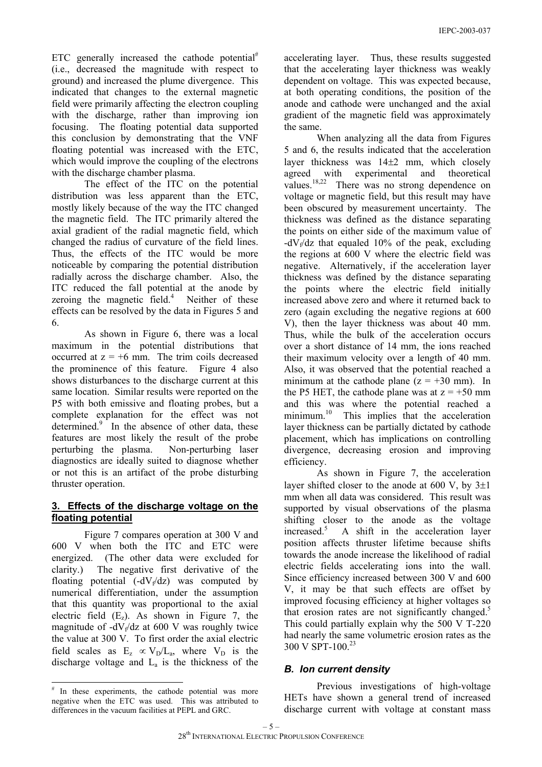ETC generally increased the cathode potential<sup>#</sup> (i.e., decreased the magnitude with respect to ground) and increased the plume divergence. This indicated that changes to the external magnetic field were primarily affecting the electron coupling with the discharge, rather than improving ion focusing. The floating potential data supported this conclusion by demonstrating that the VNF floating potential was increased with the ETC, which would improve the coupling of the electrons with the discharge chamber plasma.

The effect of the ITC on the potential distribution was less apparent than the ETC, mostly likely because of the way the ITC changed the magnetic field. The ITC primarily altered the axial gradient of the radial magnetic field, which changed the radius of curvature of the field lines. Thus, the effects of the ITC would be more noticeable by comparing the potential distribution radially across the discharge chamber. Also, the ITC reduced the fall potential at the anode by zeroing the magnetic field.<sup>4</sup> Neither of these effects can be resolved by the data in Figures 5 and 6.

 As shown in Figure 6, there was a local maximum in the potential distributions that occurred at  $z = +6$  mm. The trim coils decreased the prominence of this feature. Figure 4 also shows disturbances to the discharge current at this same location. Similar results were reported on the P5 with both emissive and floating probes, but a complete explanation for the effect was not determined.<sup>9</sup> In the absence of other data, these features are most likely the result of the probe perturbing the plasma. Non-perturbing laser diagnostics are ideally suited to diagnose whether or not this is an artifact of the probe disturbing thruster operation.

# **3. Effects of the discharge voltage on the floating potential**

 Figure 7 compares operation at 300 V and 600 V when both the ITC and ETC were energized. (The other data were excluded for clarity.) The negative first derivative of the floating potential  $(-dV_f/dz)$  was computed by numerical differentiation, under the assumption that this quantity was proportional to the axial electric field  $(E_7)$ . As shown in Figure 7, the magnitude of  $-dV_f/dz$  at 600 V was roughly twice the value at 300 V. To first order the axial electric field scales as  $E_z \propto V_D/L_a$ , where  $V_D$  is the discharge voltage and  $L<sub>a</sub>$  is the thickness of the

accelerating layer. Thus, these results suggested that the accelerating layer thickness was weakly dependent on voltage. This was expected because, at both operating conditions, the position of the anode and cathode were unchanged and the axial gradient of the magnetic field was approximately the same.

When analyzing all the data from Figures 5 and 6, the results indicated that the acceleration layer thickness was 14±2 mm, which closely agreed with experimental and theoretical values.<sup>18,22</sup> There was no strong dependence on voltage or magnetic field, but this result may have been obscured by measurement uncertainty. The thickness was defined as the distance separating the points on either side of the maximum value of  $-dV_f/dz$  that equaled 10% of the peak, excluding the regions at 600 V where the electric field was negative. Alternatively, if the acceleration layer thickness was defined by the distance separating the points where the electric field initially increased above zero and where it returned back to zero (again excluding the negative regions at 600 V), then the layer thickness was about 40 mm. Thus, while the bulk of the acceleration occurs over a short distance of 14 mm, the ions reached their maximum velocity over a length of 40 mm. Also, it was observed that the potential reached a minimum at the cathode plane  $(z = +30 \text{ mm})$ . In the P5 HET, the cathode plane was at  $z = +50$  mm and this was where the potential reached a minimum.<sup>10</sup> This implies that the acceleration layer thickness can be partially dictated by cathode placement, which has implications on controlling divergence, decreasing erosion and improving efficiency.

As shown in Figure 7, the acceleration layer shifted closer to the anode at 600 V, by  $3\pm1$ mm when all data was considered. This result was supported by visual observations of the plasma shifting closer to the anode as the voltage increased.<sup>5</sup> A shift in the acceleration layer position affects thruster lifetime because shifts towards the anode increase the likelihood of radial electric fields accelerating ions into the wall. Since efficiency increased between 300 V and 600 V, it may be that such effects are offset by improved focusing efficiency at higher voltages so that erosion rates are not significantly changed.<sup>5</sup> This could partially explain why the 500 V T-220 had nearly the same volumetric erosion rates as the 300 V SPT-100.<sup>23</sup>

# *B. Ion current density*

 Previous investigations of high-voltage HETs have shown a general trend of increased discharge current with voltage at constant mass

 # In these experiments, the cathode potential was more negative when the ETC was used. This was attributed to differences in the vacuum facilities at PEPL and GRC.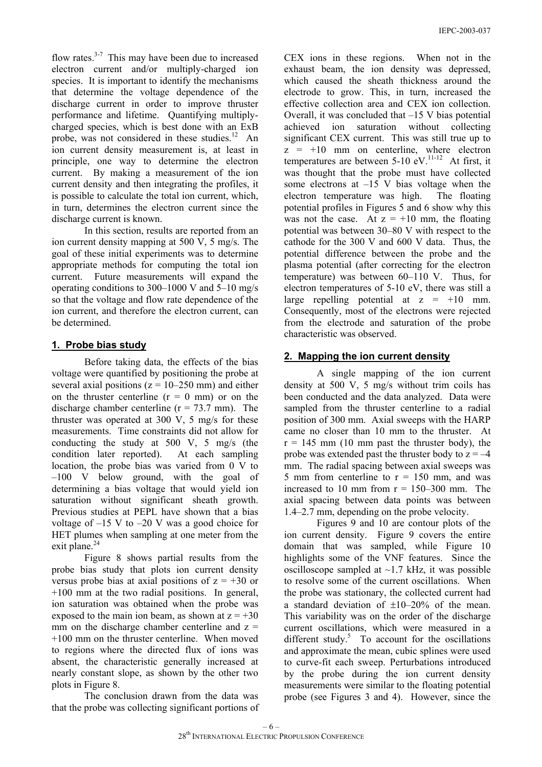flow rates. $3-7$  This may have been due to increased electron current and/or multiply-charged ion species. It is important to identify the mechanisms that determine the voltage dependence of the discharge current in order to improve thruster performance and lifetime. Quantifying multiplycharged species, which is best done with an ExB probe, was not considered in these studies. $12$  An ion current density measurement is, at least in principle, one way to determine the electron current. By making a measurement of the ion current density and then integrating the profiles, it is possible to calculate the total ion current, which, in turn, determines the electron current since the discharge current is known.

In this section, results are reported from an ion current density mapping at 500 V, 5 mg/s. The goal of these initial experiments was to determine appropriate methods for computing the total ion current. Future measurements will expand the operating conditions to 300–1000 V and 5–10 mg/s so that the voltage and flow rate dependence of the ion current, and therefore the electron current, can be determined.

#### **1. Probe bias study**

 Before taking data, the effects of the bias voltage were quantified by positioning the probe at several axial positions ( $z = 10-250$  mm) and either on the thruster centerline  $(r = 0 \text{ mm})$  or on the discharge chamber centerline  $(r = 73.7 \text{ mm})$ . The thruster was operated at 300 V, 5 mg/s for these measurements. Time constraints did not allow for conducting the study at 500 V, 5 mg/s (the condition later reported). At each sampling location, the probe bias was varied from 0 V to –100 V below ground, with the goal of determining a bias voltage that would yield ion saturation without significant sheath growth. Previous studies at PEPL have shown that a bias voltage of  $-15$  V to  $-20$  V was a good choice for HET plumes when sampling at one meter from the exit plane.<sup>24</sup>

Figure 8 shows partial results from the probe bias study that plots ion current density versus probe bias at axial positions of  $z = +30$  or +100 mm at the two radial positions. In general, ion saturation was obtained when the probe was exposed to the main ion beam, as shown at  $z = +30$ mm on the discharge chamber centerline and  $z =$ +100 mm on the thruster centerline. When moved to regions where the directed flux of ions was absent, the characteristic generally increased at nearly constant slope, as shown by the other two plots in Figure 8.

The conclusion drawn from the data was that the probe was collecting significant portions of CEX ions in these regions. When not in the exhaust beam, the ion density was depressed, which caused the sheath thickness around the electrode to grow. This, in turn, increased the effective collection area and CEX ion collection. Overall, it was concluded that  $-15$  V bias potential achieved ion saturation without collecting significant CEX current. This was still true up to  $z = +10$  mm on centerline, where electron temperatures are between  $5\text{-}10 \text{ eV}$ .<sup>11-12</sup> At first, it was thought that the probe must have collected some electrons at –15 V bias voltage when the electron temperature was high. The floating potential profiles in Figures 5 and 6 show why this was not the case. At  $z = +10$  mm, the floating potential was between 30–80 V with respect to the cathode for the 300 V and 600 V data. Thus, the potential difference between the probe and the plasma potential (after correcting for the electron temperature) was between 60–110 V. Thus, for electron temperatures of 5-10 eV, there was still a large repelling potential at  $z = +10$  mm. Consequently, most of the electrons were rejected from the electrode and saturation of the probe characteristic was observed.

#### **2. Mapping the ion current density**

A single mapping of the ion current density at 500 V, 5 mg/s without trim coils has been conducted and the data analyzed. Data were sampled from the thruster centerline to a radial position of 300 mm. Axial sweeps with the HARP came no closer than 10 mm to the thruster. At  $r = 145$  mm (10 mm past the thruster body), the probe was extended past the thruster body to  $z = -4$ mm. The radial spacing between axial sweeps was 5 mm from centerline to  $r = 150$  mm, and was increased to 10 mm from  $r = 150-300$  mm. The axial spacing between data points was between 1.4–2.7 mm, depending on the probe velocity.

Figures 9 and 10 are contour plots of the ion current density. Figure 9 covers the entire domain that was sampled, while Figure 10 highlights some of the VNF features. Since the oscilloscope sampled at  $\sim$ 1.7 kHz, it was possible to resolve some of the current oscillations. When the probe was stationary, the collected current had a standard deviation of  $\pm 10-20\%$  of the mean. This variability was on the order of the discharge current oscillations, which were measured in a different study. $5$  To account for the oscillations and approximate the mean, cubic splines were used to curve-fit each sweep. Perturbations introduced by the probe during the ion current density measurements were similar to the floating potential probe (see Figures 3 and 4). However, since the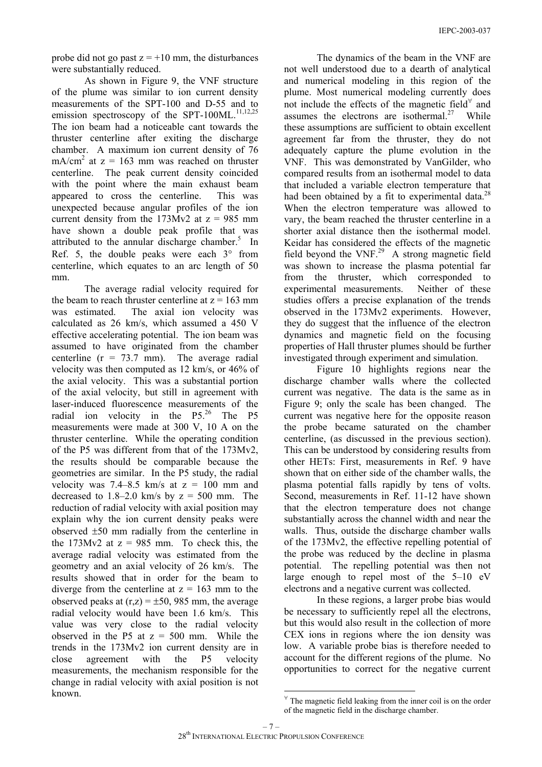probe did not go past  $z = +10$  mm, the disturbances were substantially reduced.

As shown in Figure 9, the VNF structure of the plume was similar to ion current density measurements of the SPT-100 and D-55 and to emission spectroscopy of the SPT-100ML.<sup>11,12,25</sup> The ion beam had a noticeable cant towards the thruster centerline after exiting the discharge chamber. A maximum ion current density of 76  $mA/cm<sup>2</sup>$  at  $z = 163$  mm was reached on thruster centerline. The peak current density coincided with the point where the main exhaust beam appeared to cross the centerline. This was unexpected because angular profiles of the ion current density from the  $173Mv2$  at  $z = 985$  mm have shown a double peak profile that was attributed to the annular discharge chamber. $5$  In Ref. 5, the double peaks were each  $3^\circ$  from centerline, which equates to an arc length of 50 mm.

The average radial velocity required for the beam to reach thruster centerline at  $z = 163$  mm was estimated. The axial ion velocity was calculated as 26 km/s, which assumed a 450 V effective accelerating potential. The ion beam was assumed to have originated from the chamber centerline  $(r = 73.7 \text{ mm})$ . The average radial velocity was then computed as 12 km/s, or 46% of the axial velocity. This was a substantial portion of the axial velocity, but still in agreement with laser-induced fluorescence measurements of the radial ion velocity in the P5.<sup>26</sup> The P5 measurements were made at 300 V, 10 A on the thruster centerline. While the operating condition of the P5 was different from that of the 173Mv2, the results should be comparable because the geometries are similar. In the P5 study, the radial velocity was  $7.4-8.5$  km/s at  $z = 100$  mm and decreased to  $1.8-2.0$  km/s by  $z = 500$  mm. The reduction of radial velocity with axial position may explain why the ion current density peaks were observed ±50 mm radially from the centerline in the 173Mv2 at  $z = 985$  mm. To check this, the average radial velocity was estimated from the geometry and an axial velocity of 26 km/s. The results showed that in order for the beam to diverge from the centerline at  $z = 163$  mm to the observed peaks at  $(r,z) = \pm 50$ , 985 mm, the average radial velocity would have been 1.6 km/s. This value was very close to the radial velocity observed in the P5 at  $z = 500$  mm. While the trends in the 173Mv2 ion current density are in close agreement with the P5 velocity measurements, the mechanism responsible for the change in radial velocity with axial position is not known.

The dynamics of the beam in the VNF are not well understood due to a dearth of analytical and numerical modeling in this region of the plume. Most numerical modeling currently does not include the effects of the magnetic field $\forall$  and assumes the electrons are isothermal.<sup>27</sup> While these assumptions are sufficient to obtain excellent agreement far from the thruster, they do not adequately capture the plume evolution in the VNF. This was demonstrated by VanGilder, who compared results from an isothermal model to data that included a variable electron temperature that had been obtained by a fit to experimental data. $^{28}$ When the electron temperature was allowed to vary, the beam reached the thruster centerline in a shorter axial distance then the isothermal model. Keidar has considered the effects of the magnetic field beyond the VNF.29 A strong magnetic field was shown to increase the plasma potential far from the thruster, which corresponded to experimental measurements. Neither of these studies offers a precise explanation of the trends observed in the 173Mv2 experiments. However, they do suggest that the influence of the electron dynamics and magnetic field on the focusing properties of Hall thruster plumes should be further investigated through experiment and simulation.

Figure 10 highlights regions near the discharge chamber walls where the collected current was negative. The data is the same as in Figure 9; only the scale has been changed. The current was negative here for the opposite reason the probe became saturated on the chamber centerline, (as discussed in the previous section). This can be understood by considering results from other HETs: First, measurements in Ref. 9 have shown that on either side of the chamber walls, the plasma potential falls rapidly by tens of volts. Second, measurements in Ref. 11-12 have shown that the electron temperature does not change substantially across the channel width and near the walls. Thus, outside the discharge chamber walls of the 173Mv2, the effective repelling potential of the probe was reduced by the decline in plasma potential. The repelling potential was then not large enough to repel most of the 5–10 eV electrons and a negative current was collected.

In these regions, a larger probe bias would be necessary to sufficiently repel all the electrons, but this would also result in the collection of more CEX ions in regions where the ion density was low. A variable probe bias is therefore needed to account for the different regions of the plume. No opportunities to correct for the negative current

 $\forall$  The magnetic field leaking from the inner coil is on the order of the magnetic field in the discharge chamber.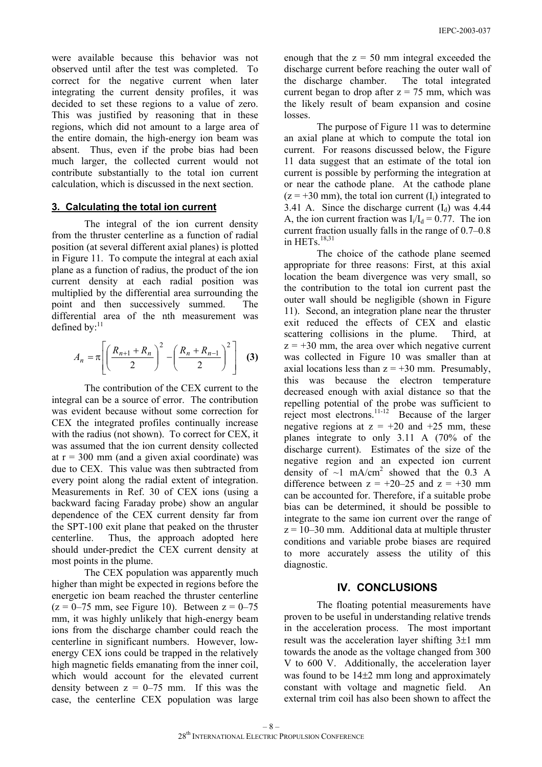were available because this behavior was not observed until after the test was completed. To correct for the negative current when later integrating the current density profiles, it was decided to set these regions to a value of zero. This was justified by reasoning that in these regions, which did not amount to a large area of the entire domain, the high-energy ion beam was absent. Thus, even if the probe bias had been much larger, the collected current would not contribute substantially to the total ion current calculation, which is discussed in the next section.

#### **3. Calculating the total ion current**

The integral of the ion current density from the thruster centerline as a function of radial position (at several different axial planes) is plotted in Figure 11. To compute the integral at each axial plane as a function of radius, the product of the ion current density at each radial position was multiplied by the differential area surrounding the point and then successively summed. The differential area of the nth measurement was defined by $^{11}$ 

$$
A_n = \pi \left[ \left( \frac{R_{n+1} + R_n}{2} \right)^2 - \left( \frac{R_n + R_{n-1}}{2} \right)^2 \right] \tag{3}
$$

The contribution of the CEX current to the integral can be a source of error. The contribution was evident because without some correction for CEX the integrated profiles continually increase with the radius (not shown). To correct for CEX, it was assumed that the ion current density collected at  $r = 300$  mm (and a given axial coordinate) was due to CEX. This value was then subtracted from every point along the radial extent of integration. Measurements in Ref. 30 of CEX ions (using a backward facing Faraday probe) show an angular dependence of the CEX current density far from the SPT-100 exit plane that peaked on the thruster centerline. Thus, the approach adopted here should under-predict the CEX current density at most points in the plume.

The CEX population was apparently much higher than might be expected in regions before the energetic ion beam reached the thruster centerline  $(z = 0-75$  mm, see Figure 10). Between  $z = 0-75$ mm, it was highly unlikely that high-energy beam ions from the discharge chamber could reach the centerline in significant numbers. However, lowenergy CEX ions could be trapped in the relatively high magnetic fields emanating from the inner coil, which would account for the elevated current density between  $z = 0-75$  mm. If this was the case, the centerline CEX population was large

enough that the  $z = 50$  mm integral exceeded the discharge current before reaching the outer wall of the discharge chamber. The total integrated current began to drop after  $z = 75$  mm, which was the likely result of beam expansion and cosine losses.

 The purpose of Figure 11 was to determine an axial plane at which to compute the total ion current. For reasons discussed below, the Figure 11 data suggest that an estimate of the total ion current is possible by performing the integration at or near the cathode plane. At the cathode plane  $(z = +30 \text{ mm})$ , the total ion current  $(I_i)$  integrated to 3.41 A. Since the discharge current  $(I_d)$  was 4.44 A, the ion current fraction was  $I_i/I_d = 0.77$ . The ion current fraction usually falls in the range of 0.7–0.8 in HETs<sup>18,31</sup>

The choice of the cathode plane seemed appropriate for three reasons: First, at this axial location the beam divergence was very small, so the contribution to the total ion current past the outer wall should be negligible (shown in Figure 11). Second, an integration plane near the thruster exit reduced the effects of CEX and elastic scattering collisions in the plume. Third, at  $z = +30$  mm, the area over which negative current was collected in Figure 10 was smaller than at axial locations less than  $z = +30$  mm. Presumably, this was because the electron temperature decreased enough with axial distance so that the repelling potential of the probe was sufficient to reject most electrons.<sup>11-12</sup> Because of the larger negative regions at  $z = +20$  and  $+25$  mm, these planes integrate to only 3.11 A (70% of the discharge current). Estimates of the size of the negative region and an expected ion current density of  $\sim$ 1 mA/cm<sup>2</sup> showed that the 0.3 A difference between  $z = +20-25$  and  $z = +30$  mm can be accounted for. Therefore, if a suitable probe bias can be determined, it should be possible to integrate to the same ion current over the range of  $z = 10-30$  mm. Additional data at multiple thruster conditions and variable probe biases are required to more accurately assess the utility of this diagnostic.

#### **IV. CONCLUSIONS**

The floating potential measurements have proven to be useful in understanding relative trends in the acceleration process. The most important result was the acceleration layer shifting  $3\pm1$  mm towards the anode as the voltage changed from 300 V to 600 V. Additionally, the acceleration layer was found to be  $14\pm 2$  mm long and approximately constant with voltage and magnetic field. An external trim coil has also been shown to affect the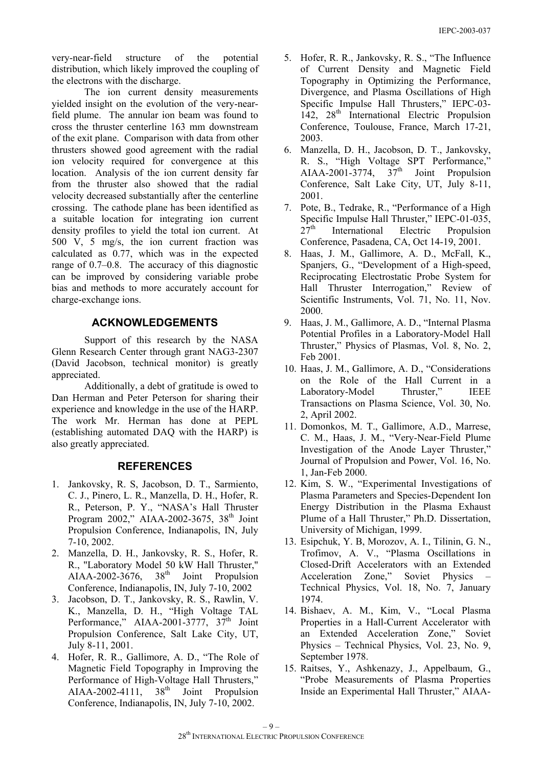very-near-field structure of the potential distribution, which likely improved the coupling of the electrons with the discharge.

The ion current density measurements yielded insight on the evolution of the very-nearfield plume. The annular ion beam was found to cross the thruster centerline 163 mm downstream of the exit plane. Comparison with data from other thrusters showed good agreement with the radial ion velocity required for convergence at this location. Analysis of the ion current density far from the thruster also showed that the radial velocity decreased substantially after the centerline crossing. The cathode plane has been identified as a suitable location for integrating ion current density profiles to yield the total ion current. At 500 V, 5 mg/s, the ion current fraction was calculated as 0.77, which was in the expected range of 0.7–0.8. The accuracy of this diagnostic can be improved by considering variable probe bias and methods to more accurately account for charge-exchange ions.

#### **ACKNOWLEDGEMENTS**

Support of this research by the NASA Glenn Research Center through grant NAG3-2307 (David Jacobson, technical monitor) is greatly appreciated.

Additionally, a debt of gratitude is owed to Dan Herman and Peter Peterson for sharing their experience and knowledge in the use of the HARP. The work Mr. Herman has done at PEPL (establishing automated DAQ with the HARP) is also greatly appreciated.

#### **REFERENCES**

- 1. Jankovsky, R. S, Jacobson, D. T., Sarmiento, C. J., Pinero, L. R., Manzella, D. H., Hofer, R. R., Peterson, P. Y., "NASA's Hall Thruster Program  $2002$ ." AIAA-2002-3675,  $38<sup>th</sup>$  Joint Propulsion Conference, Indianapolis, IN, July 7-10, 2002.
- 2. Manzella, D. H., Jankovsky, R. S., Hofer, R. R., "Laboratory Model 50 kW Hall Thruster," AIAA-2002-3676,  $38<sup>th</sup>$  Joint Propulsion Conference, Indianapolis, IN, July 7-10, 2002
- 3. Jacobson, D. T., Jankovsky, R. S., Rawlin, V. K., Manzella, D. H., "High Voltage TAL Performance," AIAA-2001-3777,  $37<sup>th</sup>$  Joint Propulsion Conference, Salt Lake City, UT, July 8-11, 2001.
- 4. Hofer, R. R., Gallimore, A. D., "The Role of Magnetic Field Topography in Improving the Performance of High-Voltage Hall Thrusters," AIAA-2002-4111,  $38<sup>th</sup>$  Joint Propulsion Conference, Indianapolis, IN, July 7-10, 2002.
- 5. Hofer, R. R., Jankovsky, R. S., "The Influence of Current Density and Magnetic Field Topography in Optimizing the Performance, Divergence, and Plasma Oscillations of High Specific Impulse Hall Thrusters," IEPC-03-  $142$ ,  $28<sup>th</sup>$  International Electric Propulsion Conference, Toulouse, France, March 17-21, 2003.
- 6. Manzella, D. H., Jacobson, D. T., Jankovsky, R. S., "High Voltage SPT Performance," AIAA-2001-3774,  $37<sup>th</sup>$  Joint Propulsion Conference, Salt Lake City, UT, July 8-11, 2001.
- 7. Pote, B., Tedrake, R., "Performance of a High Specific Impulse Hall Thruster," IEPC-01-035,  $27<sup>th</sup>$  International Electric Propulsion Conference, Pasadena, CA, Oct 14-19, 2001.
- 8. Haas, J. M., Gallimore, A. D., McFall, K., Spanjers, G., "Development of a High-speed, Reciprocating Electrostatic Probe System for Hall Thruster Interrogation," Review of Scientific Instruments, Vol. 71, No. 11, Nov. 2000.
- 9. Haas, J. M., Gallimore, A. D., "Internal Plasma Potential Profiles in a Laboratory-Model Hall Thruster," Physics of Plasmas, Vol. 8, No. 2, Feb 2001.
- 10. Haas, J. M., Gallimore, A. D., "Considerations on the Role of the Hall Current in a Laboratory-Model Thruster," IEEE Transactions on Plasma Science, Vol. 30, No. 2, April 2002.
- 11. Domonkos, M. T., Gallimore, A.D., Marrese, C. M., Haas, J. M., "Very-Near-Field Plume Investigation of the Anode Layer Thruster," Journal of Propulsion and Power, Vol. 16, No. 1, Jan-Feb 2000.
- 12. Kim, S. W., "Experimental Investigations of Plasma Parameters and Species-Dependent Ion Energy Distribution in the Plasma Exhaust Plume of a Hall Thruster," Ph.D. Dissertation, University of Michigan, 1999.
- 13. Esipchuk, Y. B, Morozov, A. I., Tilinin, G. N., Trofimov, A. V., "Plasma Oscillations in Closed-Drift Accelerators with an Extended Acceleration Zone," Soviet Physics – Technical Physics, Vol. 18, No. 7, January 1974.
- 14. Bishaev, A. M., Kim, V., "Local Plasma Properties in a Hall-Current Accelerator with an Extended Acceleration Zone," Soviet Physics – Technical Physics, Vol. 23, No. 9, September 1978.
- 15. Raitses, Y., Ashkenazy, J., Appelbaum, G., "Probe Measurements of Plasma Properties Inside an Experimental Hall Thruster," AIAA-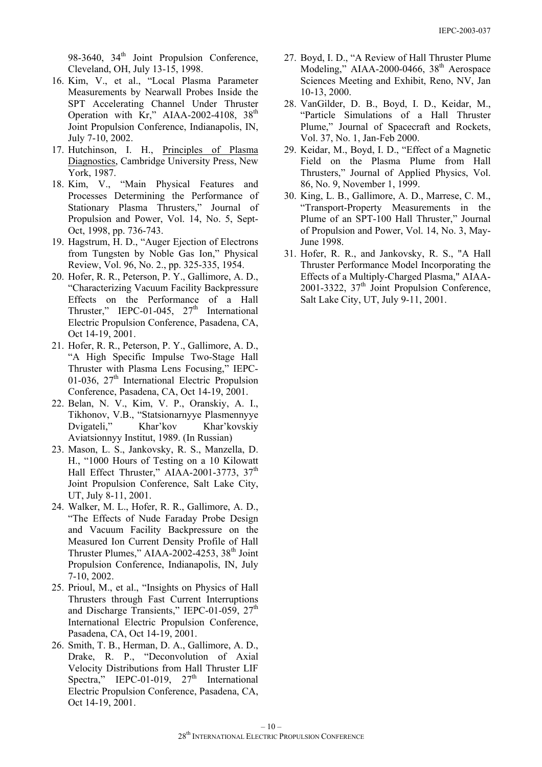98-3640,  $34<sup>th</sup>$  Joint Propulsion Conference, Cleveland, OH, July 13-15, 1998.

- 16. Kim, V., et al., "Local Plasma Parameter Measurements by Nearwall Probes Inside the SPT Accelerating Channel Under Thruster Operation with  $Kr''$ , AIAA-2002-4108, 38<sup>th</sup> Joint Propulsion Conference, Indianapolis, IN, July 7-10, 2002.
- 17. Hutchinson, I. H., Principles of Plasma Diagnostics, Cambridge University Press, New York, 1987.
- 18. Kim, V., "Main Physical Features and Processes Determining the Performance of Stationary Plasma Thrusters," Journal of Propulsion and Power, Vol. 14, No. 5, Sept-Oct, 1998, pp. 736-743.
- 19. Hagstrum, H. D., "Auger Ejection of Electrons from Tungsten by Noble Gas Ion," Physical Review, Vol. 96, No. 2., pp. 325-335, 1954.
- 20. Hofer, R. R., Peterson, P. Y., Gallimore, A. D., "Characterizing Vacuum Facility Backpressure Effects on the Performance of a Hall Thruster," IEPC-01-045,  $27<sup>th</sup>$  International Electric Propulsion Conference, Pasadena, CA, Oct 14-19, 2001.
- 21. Hofer, R. R., Peterson, P. Y., Gallimore, A. D., "A High Specific Impulse Two-Stage Hall Thruster with Plasma Lens Focusing," IEPC-01-036,  $27<sup>th</sup> International Electric Propulsion$ Conference, Pasadena, CA, Oct 14-19, 2001.
- 22. Belan, N. V., Kim, V. P., Oranskiy, A. I., Tikhonov, V.B., "Statsionarnyye Plasmennyye Dvigateli," Khar'kov Khar'kovskiy Aviatsionnyy Institut, 1989. (In Russian)
- 23. Mason, L. S., Jankovsky, R. S., Manzella, D. H., "1000 Hours of Testing on a 10 Kilowatt Hall Effect Thruster," AIAA-2001-3773, 37<sup>th</sup> Joint Propulsion Conference, Salt Lake City, UT, July 8-11, 2001.
- 24. Walker, M. L., Hofer, R. R., Gallimore, A. D., "The Effects of Nude Faraday Probe Design and Vacuum Facility Backpressure on the Measured Ion Current Density Profile of Hall Thruster Plumes," AIAA-2002-4253, 38<sup>th</sup> Joint Propulsion Conference, Indianapolis, IN, July 7-10, 2002.
- 25. Prioul, M., et al., "Insights on Physics of Hall Thrusters through Fast Current Interruptions and Discharge Transients," IEPC-01-059, 27<sup>th</sup> International Electric Propulsion Conference, Pasadena, CA, Oct 14-19, 2001.
- 26. Smith, T. B., Herman, D. A., Gallimore, A. D., Drake, R. P., "Deconvolution of Axial Velocity Distributions from Hall Thruster LIF Spectra," IEPC-01-019,  $27<sup>th</sup>$  International Electric Propulsion Conference, Pasadena, CA, Oct 14-19, 2001.
- 27. Boyd, I. D., "A Review of Hall Thruster Plume Modeling," AIAA-2000-0466, 38<sup>th</sup> Aerospace Sciences Meeting and Exhibit, Reno, NV, Jan 10-13, 2000.
- 28. VanGilder, D. B., Boyd, I. D., Keidar, M., "Particle Simulations of a Hall Thruster Plume," Journal of Spacecraft and Rockets, Vol. 37, No. 1, Jan-Feb 2000.
- 29. Keidar, M., Boyd, I. D., "Effect of a Magnetic Field on the Plasma Plume from Hall Thrusters," Journal of Applied Physics, Vol. 86, No. 9, November 1, 1999.
- 30. King, L. B., Gallimore, A. D., Marrese, C. M., "Transport-Property Measurements in the Plume of an SPT-100 Hall Thruster," Journal of Propulsion and Power, Vol. 14, No. 3, May-June 1998.
- 31. Hofer, R. R., and Jankovsky, R. S., "A Hall Thruster Performance Model Incorporating the Effects of a Multiply-Charged Plasma," AIAA-2001-3322,  $37<sup>th</sup>$  Joint Propulsion Conference, Salt Lake City, UT, July 9-11, 2001.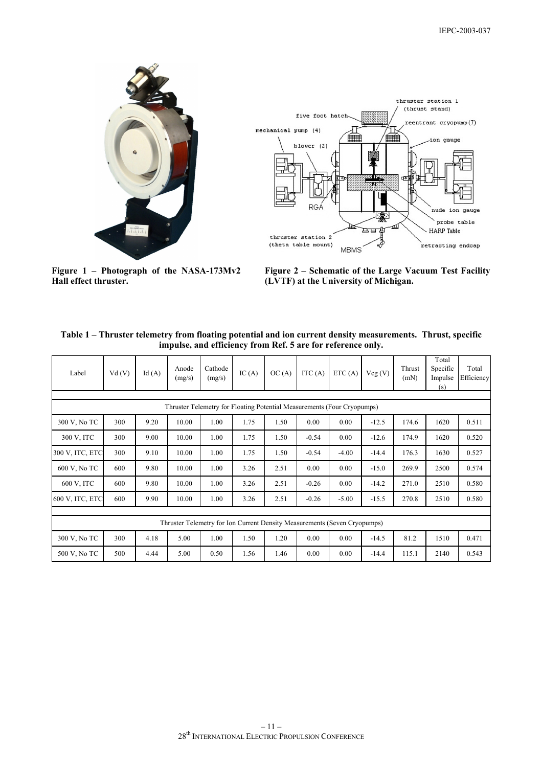



**Figure 1 – Photograph of the NASA-173Mv2 Hall effect thruster.** 

**Figure 2 – Schematic of the Large Vacuum Test Facility (LVTF) at the University of Michigan.** 

| Table 1 – Thruster telemetry from floating potential and ion current density measurements. Thrust, specific |  |
|-------------------------------------------------------------------------------------------------------------|--|
| impulse, and efficiency from Ref. 5 are for reference only.                                                 |  |

| Label                                                                     | Vd(V) | Id $(A)$ | Anode<br>(mg/s) | Cathode<br>(mg/s) | IC(A) | OC(A) | ITC $(A)$ | ETC(A)  | Vcg(V)  | Thrust<br>(mN) | Total<br>Specific<br>Impulse<br>(s) | Total<br>Efficiency |
|---------------------------------------------------------------------------|-------|----------|-----------------|-------------------|-------|-------|-----------|---------|---------|----------------|-------------------------------------|---------------------|
| Thruster Telemetry for Floating Potential Measurements (Four Cryopumps)   |       |          |                 |                   |       |       |           |         |         |                |                                     |                     |
|                                                                           |       |          |                 |                   |       |       |           |         |         |                |                                     |                     |
| 300 V, No TC                                                              | 300   | 9.20     | 10.00           | 1.00              | 1.75  | 1.50  | 0.00      | 0.00    | $-12.5$ | 174.6          | 1620                                | 0.511               |
| 300 V, ITC                                                                | 300   | 9.00     | 10.00           | 1.00              | 1.75  | 1.50  | $-0.54$   | 0.00    | $-12.6$ | 174.9          | 1620                                | 0.520               |
| 300 V, ITC, ETC                                                           | 300   | 9.10     | 10.00           | 1.00              | 1.75  | 1.50  | $-0.54$   | $-4.00$ | $-14.4$ | 176.3          | 1630                                | 0.527               |
| 600 V, No TC                                                              | 600   | 9.80     | 10.00           | 1.00              | 3.26  | 2.51  | 0.00      | 0.00    | $-15.0$ | 269.9          | 2500                                | 0.574               |
| 600 V, ITC                                                                | 600   | 9.80     | 10.00           | 1.00              | 3.26  | 2.51  | $-0.26$   | 0.00    | $-14.2$ | 271.0          | 2510                                | 0.580               |
| 600 V, ITC, ETC                                                           | 600   | 9.90     | 10.00           | 1.00              | 3.26  | 2.51  | $-0.26$   | $-5.00$ | $-15.5$ | 270.8          | 2510                                | 0.580               |
|                                                                           |       |          |                 |                   |       |       |           |         |         |                |                                     |                     |
| Thruster Telemetry for Ion Current Density Measurements (Seven Cryopumps) |       |          |                 |                   |       |       |           |         |         |                |                                     |                     |
| 300 V, No TC                                                              | 300   | 4.18     | 5.00            | 1.00              | 1.50  | 1.20  | 0.00      | 0.00    | $-14.5$ | 81.2           | 1510                                | 0.471               |
| 500 V, No TC                                                              | 500   | 4.44     | 5.00            | 0.50              | 1.56  | 1.46  | 0.00      | 0.00    | $-14.4$ | 115.1          | 2140                                | 0.543               |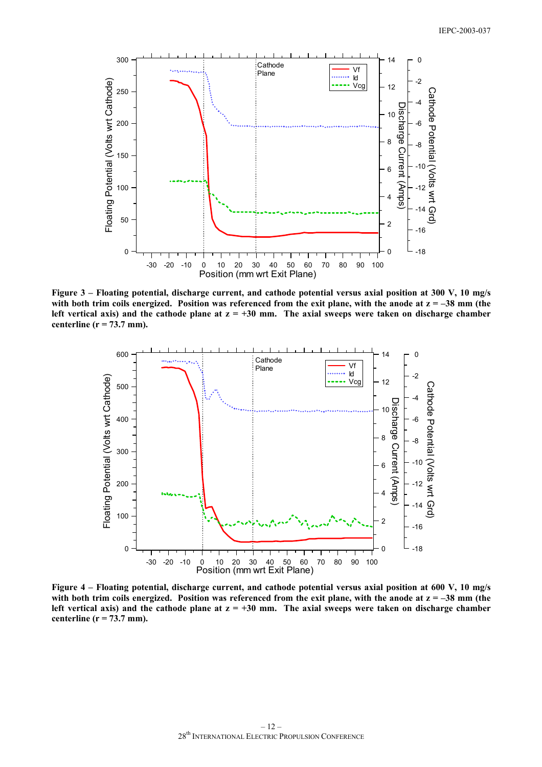

**Figure 3 – Floating potential, discharge current, and cathode potential versus axial position at 300 V, 10 mg/s**  with both trim coils energized. Position was referenced from the exit plane, with the anode at  $z = -38$  mm (the left vertical axis) and the cathode plane at  $z = +30$  mm. The axial sweeps were taken on discharge chamber **centerline (r = 73.7 mm).** 



**Figure 4 – Floating potential, discharge current, and cathode potential versus axial position at 600 V, 10 mg/s**  with both trim coils energized. Position was referenced from the exit plane, with the anode at  $z = -38$  mm (the left vertical axis) and the cathode plane at  $z = +30$  mm. The axial sweeps were taken on discharge chamber **centerline (r = 73.7 mm).**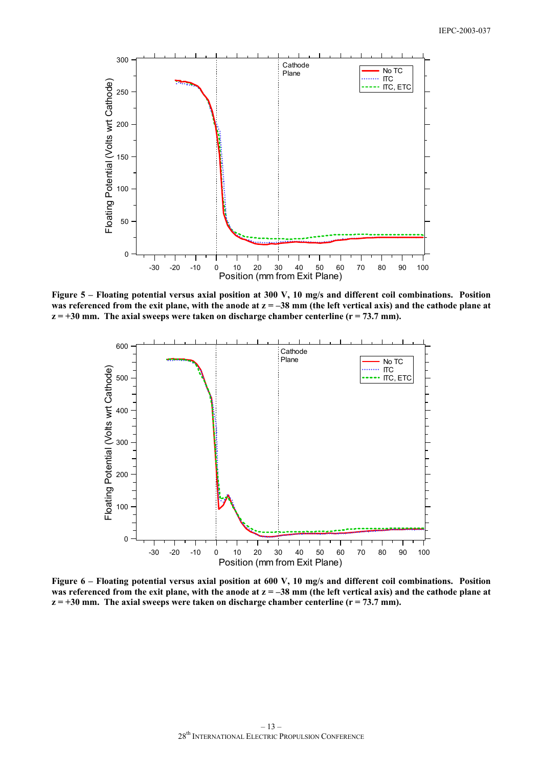

**Figure 5 – Floating potential versus axial position at 300 V, 10 mg/s and different coil combinations. Position was referenced from the exit plane, with the anode at z = –38 mm (the left vertical axis) and the cathode plane at**   $z = +30$  mm. The axial sweeps were taken on discharge chamber centerline ( $r = 73.7$  mm).



**Figure 6 – Floating potential versus axial position at 600 V, 10 mg/s and different coil combinations. Position was referenced from the exit plane, with the anode at z = –38 mm (the left vertical axis) and the cathode plane at**   $z = +30$  mm. The axial sweeps were taken on discharge chamber centerline ( $r = 73.7$  mm).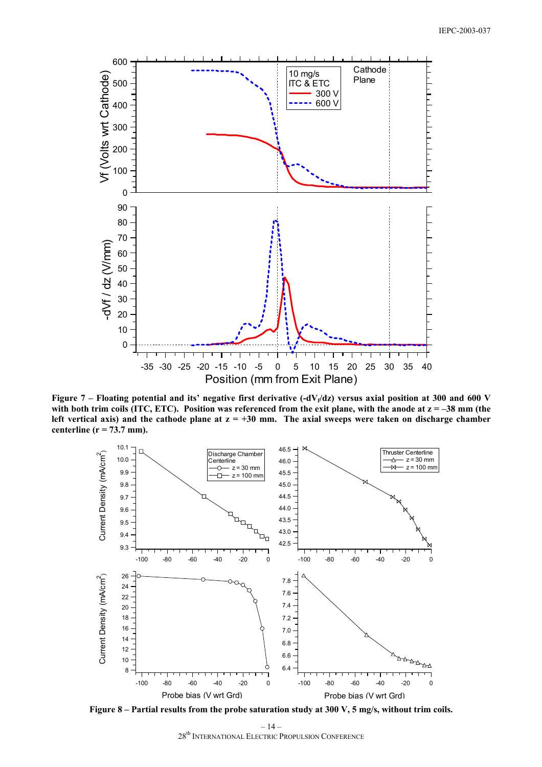

Figure 7 – Floating potential and its' negative first derivative  $(-dV_f/dz)$  versus axial position at 300 and 600 V with both trim coils (ITC, ETC). Position was referenced from the exit plane, with the anode at  $z = -38$  mm (the left vertical axis) and the cathode plane at  $z = +30$  mm. The axial sweeps were taken on discharge chamber **centerline (r = 73.7 mm).** 



**Figure 8 – Partial results from the probe saturation study at 300 V, 5 mg/s, without trim coils.**

 $-14-$ 28th INTERNATIONAL ELECTRIC PROPULSION CONFERENCE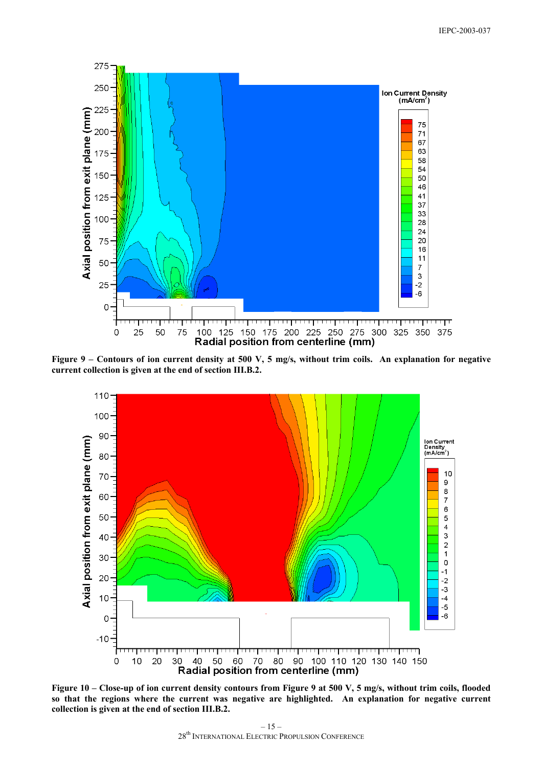

**Figure 9 – Contours of ion current density at 500 V, 5 mg/s, without trim coils. An explanation for negative current collection is given at the end of section III.B.2.** 



**Figure 10 – Close-up of ion current density contours from Figure 9 at 500 V, 5 mg/s, without trim coils, flooded so that the regions where the current was negative are highlighted. An explanation for negative current collection is given at the end of section III.B.2.**